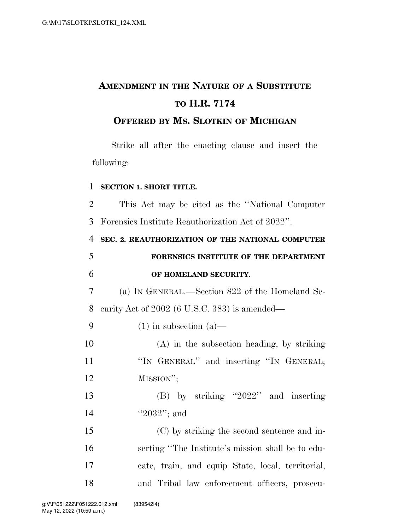## **AMENDMENT IN THE NATURE OF A SUBSTITUTE TO H.R. 7174**

## **OFFERED BY MS. SLOTKIN OF MICHIGAN**

Strike all after the enacting clause and insert the following:

## 1 **SECTION 1. SHORT TITLE.**

2 This Act may be cited as the ''National Computer 3 Forensics Institute Reauthorization Act of 2022''.

 **SEC. 2. REAUTHORIZATION OF THE NATIONAL COMPUTER FORENSICS INSTITUTE OF THE DEPARTMENT OF HOMELAND SECURITY.**  (a) IN GENERAL.—Section 822 of the Homeland Se- curity Act of 2002 (6 U.S.C. 383) is amended— 9 (1) in subsection  $(a)$ — (A) in the subsection heading, by striking 11 "IN GENERAL" and inserting "IN GENERAL; 12 MISSION''; (B) by striking ''2022'' and inserting ''2032''; and (C) by striking the second sentence and in- serting ''The Institute's mission shall be to edu-cate, train, and equip State, local, territorial,

18 and Tribal law enforcement officers, prosecu-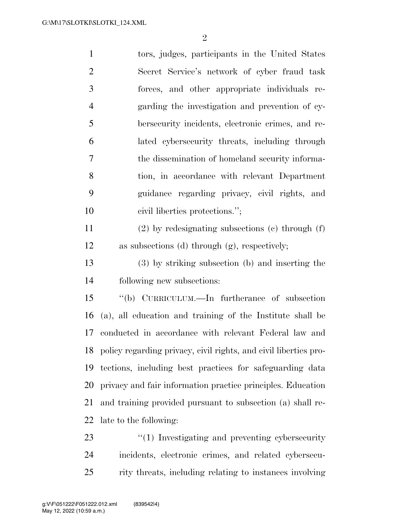tors, judges, participants in the United States Secret Service's network of cyber fraud task forces, and other appropriate individuals re- garding the investigation and prevention of cy- bersecurity incidents, electronic crimes, and re- lated cybersecurity threats, including through the dissemination of homeland security informa- tion, in accordance with relevant Department guidance regarding privacy, civil rights, and 10 civil liberties protections."; (2) by redesignating subsections (c) through (f) as subsections (d) through (g), respectively; (3) by striking subsection (b) and inserting the following new subsections: ''(b) CURRICULUM.—In furtherance of subsection (a), all education and training of the Institute shall be conducted in accordance with relevant Federal law and policy regarding privacy, civil rights, and civil liberties pro- tections, including best practices for safeguarding data privacy and fair information practice principles. Education and training provided pursuant to subsection (a) shall re- late to the following:  $\frac{1}{2}$  (1) Investigating and preventing cybersecurity

 incidents, electronic crimes, and related cybersecu-rity threats, including relating to instances involving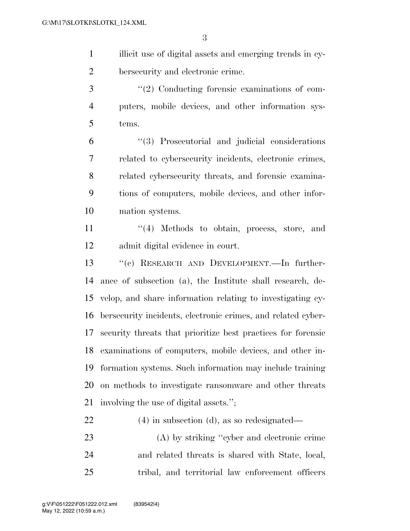illicit use of digital assets and emerging trends in cy-bersecurity and electronic crime.

3  $\frac{1}{2}$  Conducting forensic examinations of com- puters, mobile devices, and other information sys-tems.

 ''(3) Prosecutorial and judicial considerations related to cybersecurity incidents, electronic crimes, related cybersecurity threats, and forensic examina- tions of computers, mobile devices, and other infor-mation systems.

11 ''(4) Methods to obtain, process, store, and admit digital evidence in court.

 ''(c) RESEARCH AND DEVELOPMENT.—In further- ance of subsection (a), the Institute shall research, de- velop, and share information relating to investigating cy- bersecurity incidents, electronic crimes, and related cyber- security threats that prioritize best practices for forensic examinations of computers, mobile devices, and other in- formation systems. Such information may include training on methods to investigate ransomware and other threats involving the use of digital assets.'';

(4) in subsection (d), as so redesignated—

 (A) by striking ''cyber and electronic crime and related threats is shared with State, local, tribal, and territorial law enforcement officers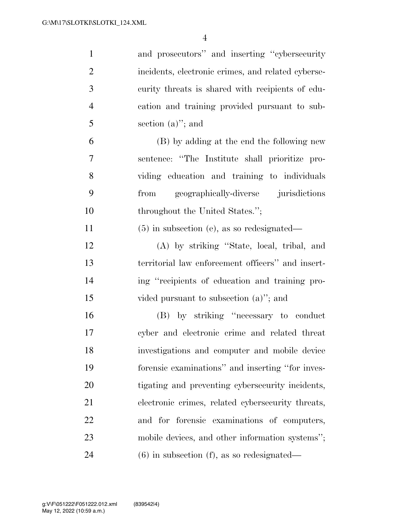| $\mathbf{1}$   | and prosecutors" and inserting "cybersecurity"     |
|----------------|----------------------------------------------------|
| $\overline{2}$ | incidents, electronic crimes, and related cyberse- |
| 3              | curity threats is shared with recipients of edu-   |
| $\overline{4}$ | cation and training provided pursuant to sub-      |
| 5              | section $(a)$ "; and                               |
| 6              | (B) by adding at the end the following new         |
| 7              | sentence: "The Institute shall prioritize pro-     |
| 8              | viding education and training to individuals       |
| 9              | from geographically-diverse jurisdictions          |
| 10             | throughout the United States.";                    |
| 11             | $(5)$ in subsection (e), as so redesignated—       |
| 12             | (A) by striking "State, local, tribal, and         |
| 13             | territorial law enforcement officers" and insert-  |
| 14             | ing "recipients of education and training pro-     |
| 15             | vided pursuant to subsection $(a)$ "; and          |
| 16             | (B) by striking "necessary to conduct              |
| 17             | cyber and electronic crime and related threat      |
| 18             | investigations and computer and mobile device      |
| 19             | forensic examinations" and inserting "for inves-   |
| 20             | tigating and preventing cybersecurity incidents,   |
| 21             | electronic crimes, related cybersecurity threats,  |
| 22             | and for forensic examinations of computers,        |
| 23             | mobile devices, and other information systems";    |
| 24             | $(6)$ in subsection $(f)$ , as so redesignated—    |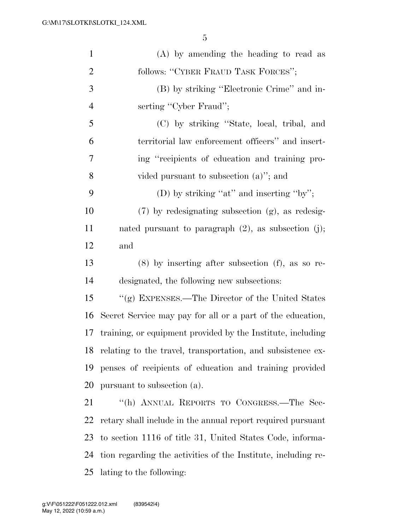| $\mathbf{1}$   | $(A)$ by amending the heading to read as                      |
|----------------|---------------------------------------------------------------|
| $\overline{2}$ | follows: "CYBER FRAUD TASK FORCES";                           |
| 3              | (B) by striking "Electronic Crime" and in-                    |
| $\overline{4}$ | serting "Cyber Fraud";                                        |
| 5              | (C) by striking "State, local, tribal, and                    |
| 6              | territorial law enforcement officers" and insert-             |
| 7              | ing "recipients of education and training pro-                |
| 8              | vided pursuant to subsection $(a)$ "; and                     |
| 9              | (D) by striking "at" and inserting "by";                      |
| 10             | (7) by redesignating subsection (g), as redesig-              |
| 11             | nated pursuant to paragraph $(2)$ , as subsection $(j)$ ;     |
| 12             | and                                                           |
| 13             | $(8)$ by inserting after subsection $(f)$ , as so re-         |
| 14             | designated, the following new subsections:                    |
| 15             | "(g) EXPENSES.—The Director of the United States              |
| 16             | Secret Service may pay for all or a part of the education,    |
| 17             | training, or equipment provided by the Institute, including   |
| 18             | relating to the travel, transportation, and subsistence ex-   |
| 19             | penses of recipients of education and training provided       |
| 20             | pursuant to subsection (a).                                   |
| 21             | "(h) ANNUAL REPORTS TO CONGRESS.—The Sec-                     |
| 22             | retary shall include in the annual report required pursuant   |
| 23             | to section 1116 of title 31, United States Code, informa-     |
| 24             | tion regarding the activities of the Institute, including re- |
| 25             | lating to the following:                                      |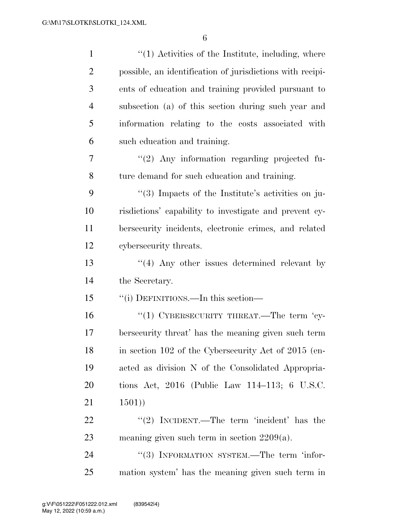| $\mathbf{1}$   | $"(1)$ Activities of the Institute, including, where      |
|----------------|-----------------------------------------------------------|
| $\overline{2}$ | possible, an identification of jurisdictions with recipi- |
| 3              | ents of education and training provided pursuant to       |
| $\overline{4}$ | subsection (a) of this section during such year and       |
| 5              | information relating to the costs associated with         |
| 6              | such education and training.                              |
| 7              | "(2) Any information regarding projected fu-              |
| 8              | ture demand for such education and training.              |
| 9              | "(3) Impacts of the Institute's activities on ju-         |
| 10             | risdictions' capability to investigate and prevent cy-    |
| 11             | bersecurity incidents, electronic crimes, and related     |
| 12             | cybersecurity threats.                                    |
| 13             | $\cdot$ (4) Any other issues determined relevant by       |
| 14             | the Secretary.                                            |
| 15             | "(i) DEFINITIONS.—In this section—                        |
| 16             | "(1) CYBERSECURITY THREAT.—The term 'cy-                  |
| 17             | bersecurity threat' has the meaning given such term       |
| 18             | in section 102 of the Cybersecurity Act of 2015 (en-      |
| 19             | acted as division N of the Consolidated Appropria-        |
| 20             | tions Act, 2016 (Public Law 114–113; 6 U.S.C.             |
| 21             | 1501)                                                     |
| 22             | "(2) INCIDENT.—The term 'incident' has the                |
| 23             | meaning given such term in section $2209(a)$ .            |
| 24             | "(3) INFORMATION SYSTEM.—The term 'infor-                 |
| 25             | mation system' has the meaning given such term in         |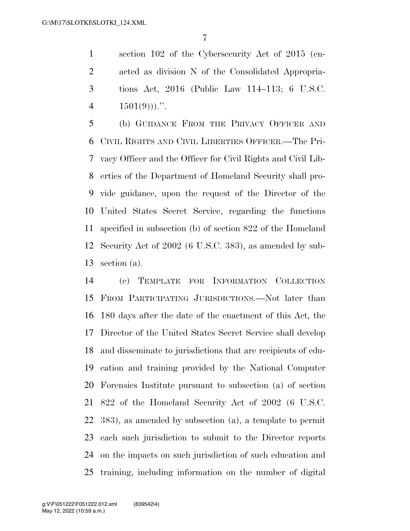section 102 of the Cybersecurity Act of 2015 (en- acted as division N of the Consolidated Appropria- tions Act, 2016 (Public Law 114–113; 6 U.S.C.  $1501(9)$ ...

 (b) GUIDANCE FROM THE PRIVACY OFFICER AND CIVIL RIGHTS AND CIVIL LIBERTIES OFFICER.—The Pri- vacy Officer and the Officer for Civil Rights and Civil Lib- erties of the Department of Homeland Security shall pro- vide guidance, upon the request of the Director of the United States Secret Service, regarding the functions specified in subsection (b) of section 822 of the Homeland Security Act of 2002 (6 U.S.C. 383), as amended by sub-section (a).

 (c) TEMPLATE FOR INFORMATION COLLECTION FROM PARTICIPATING JURISDICTIONS.—Not later than 180 days after the date of the enactment of this Act, the Director of the United States Secret Service shall develop and disseminate to jurisdictions that are recipients of edu- cation and training provided by the National Computer Forensics Institute pursuant to subsection (a) of section 822 of the Homeland Security Act of 2002 (6 U.S.C. 383), as amended by subsection (a), a template to permit each such jurisdiction to submit to the Director reports on the impacts on such jurisdiction of such education and training, including information on the number of digital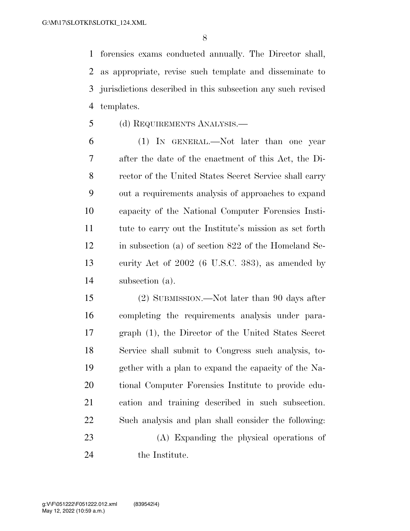forensics exams conducted annually. The Director shall, as appropriate, revise such template and disseminate to jurisdictions described in this subsection any such revised templates.

- (d) REQUIREMENTS ANALYSIS.—
- (1) IN GENERAL.—Not later than one year after the date of the enactment of this Act, the Di- rector of the United States Secret Service shall carry out a requirements analysis of approaches to expand capacity of the National Computer Forensics Insti- tute to carry out the Institute's mission as set forth in subsection (a) of section 822 of the Homeland Se- curity Act of 2002 (6 U.S.C. 383), as amended by subsection (a).

 (2) SUBMISSION.—Not later than 90 days after completing the requirements analysis under para- graph (1), the Director of the United States Secret Service shall submit to Congress such analysis, to- gether with a plan to expand the capacity of the Na- tional Computer Forensics Institute to provide edu- cation and training described in such subsection. Such analysis and plan shall consider the following: (A) Expanding the physical operations of

24 the Institute.